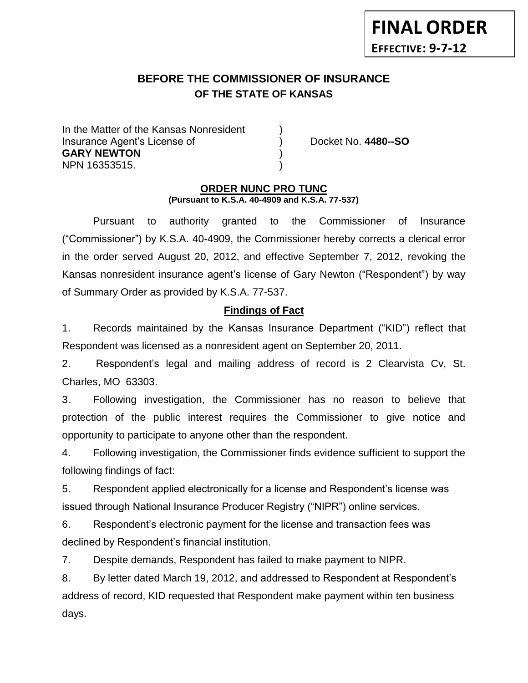# **BEFORE THE COMMISSIONER OF INSURANCE OF THE STATE OF KANSAS**

In the Matter of the Kansas Nonresident Insurance Agent's License of ) Docket No. **4480--SO GARY NEWTON** ) NPN 16353515. )

#### **ORDER NUNC PRO TUNC (Pursuant to K.S.A. 40-4909 and K.S.A. 77-537)**

Pursuant to authority granted to the Commissioner of Insurance ("Commissioner") by K.S.A. 40-4909, the Commissioner hereby corrects a clerical error in the order served August 20, 2012, and effective September 7, 2012, revoking the Kansas nonresident insurance agent's license of Gary Newton ("Respondent") by way of Summary Order as provided by K.S.A. 77-537.

# **Findings of Fact**

1. Records maintained by the Kansas Insurance Department ("KID") reflect that Respondent was licensed as a nonresident agent on September 20, 2011.

2. Respondent's legal and mailing address of record is 2 Clearvista Cv, St. Charles, MO 63303.

3. Following investigation, the Commissioner has no reason to believe that protection of the public interest requires the Commissioner to give notice and opportunity to participate to anyone other than the respondent.

4. Following investigation, the Commissioner finds evidence sufficient to support the following findings of fact:

5. Respondent applied electronically for a license and Respondent's license was issued through National Insurance Producer Registry ("NIPR") online services.

6. Respondent's electronic payment for the license and transaction fees was declined by Respondent's financial institution.

7. Despite demands, Respondent has failed to make payment to NIPR.

8. By letter dated March 19, 2012, and addressed to Respondent at Respondent's address of record, KID requested that Respondent make payment within ten business days.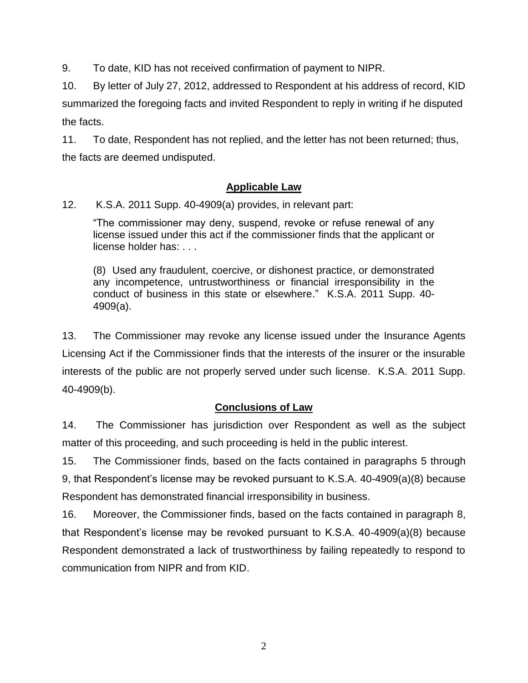9. To date, KID has not received confirmation of payment to NIPR.

10. By letter of July 27, 2012, addressed to Respondent at his address of record, KID summarized the foregoing facts and invited Respondent to reply in writing if he disputed the facts.

11. To date, Respondent has not replied, and the letter has not been returned; thus, the facts are deemed undisputed.

# **Applicable Law**

12. K.S.A. 2011 Supp. 40-4909(a) provides, in relevant part:

"The commissioner may deny, suspend, revoke or refuse renewal of any license issued under this act if the commissioner finds that the applicant or license holder has: . . .

(8) Used any fraudulent, coercive, or dishonest practice, or demonstrated any incompetence, untrustworthiness or financial irresponsibility in the conduct of business in this state or elsewhere." K.S.A. 2011 Supp. 40- 4909(a).

13. The Commissioner may revoke any license issued under the Insurance Agents Licensing Act if the Commissioner finds that the interests of the insurer or the insurable interests of the public are not properly served under such license. K.S.A. 2011 Supp. 40-4909(b).

# **Conclusions of Law**

14. The Commissioner has jurisdiction over Respondent as well as the subject matter of this proceeding, and such proceeding is held in the public interest.

15. The Commissioner finds, based on the facts contained in paragraphs 5 through 9, that Respondent's license may be revoked pursuant to K.S.A. 40-4909(a)(8) because Respondent has demonstrated financial irresponsibility in business.

16. Moreover, the Commissioner finds, based on the facts contained in paragraph 8, that Respondent's license may be revoked pursuant to K.S.A. 40-4909(a)(8) because Respondent demonstrated a lack of trustworthiness by failing repeatedly to respond to communication from NIPR and from KID.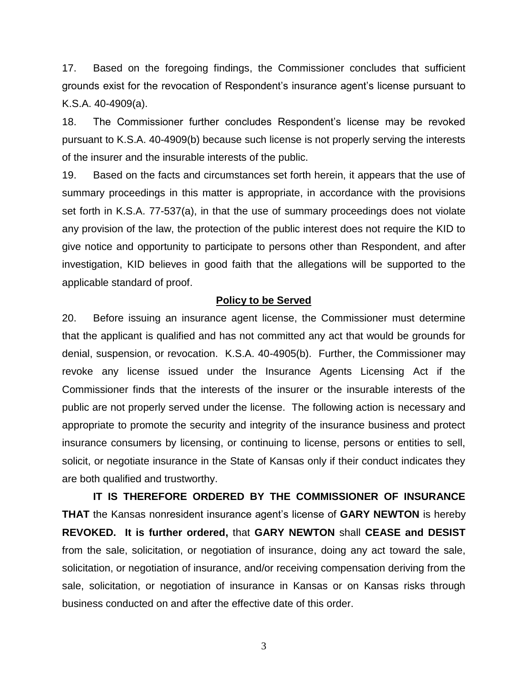17. Based on the foregoing findings, the Commissioner concludes that sufficient grounds exist for the revocation of Respondent's insurance agent's license pursuant to K.S.A. 40-4909(a).

18. The Commissioner further concludes Respondent's license may be revoked pursuant to K.S.A. 40-4909(b) because such license is not properly serving the interests of the insurer and the insurable interests of the public.

19. Based on the facts and circumstances set forth herein, it appears that the use of summary proceedings in this matter is appropriate, in accordance with the provisions set forth in K.S.A. 77-537(a), in that the use of summary proceedings does not violate any provision of the law, the protection of the public interest does not require the KID to give notice and opportunity to participate to persons other than Respondent, and after investigation, KID believes in good faith that the allegations will be supported to the applicable standard of proof.

#### **Policy to be Served**

20. Before issuing an insurance agent license, the Commissioner must determine that the applicant is qualified and has not committed any act that would be grounds for denial, suspension, or revocation. K.S.A. 40-4905(b). Further, the Commissioner may revoke any license issued under the Insurance Agents Licensing Act if the Commissioner finds that the interests of the insurer or the insurable interests of the public are not properly served under the license. The following action is necessary and appropriate to promote the security and integrity of the insurance business and protect insurance consumers by licensing, or continuing to license, persons or entities to sell, solicit, or negotiate insurance in the State of Kansas only if their conduct indicates they are both qualified and trustworthy.

**IT IS THEREFORE ORDERED BY THE COMMISSIONER OF INSURANCE THAT** the Kansas nonresident insurance agent's license of **GARY NEWTON** is hereby **REVOKED. It is further ordered,** that **GARY NEWTON** shall **CEASE and DESIST** from the sale, solicitation, or negotiation of insurance, doing any act toward the sale, solicitation, or negotiation of insurance, and/or receiving compensation deriving from the sale, solicitation, or negotiation of insurance in Kansas or on Kansas risks through business conducted on and after the effective date of this order.

3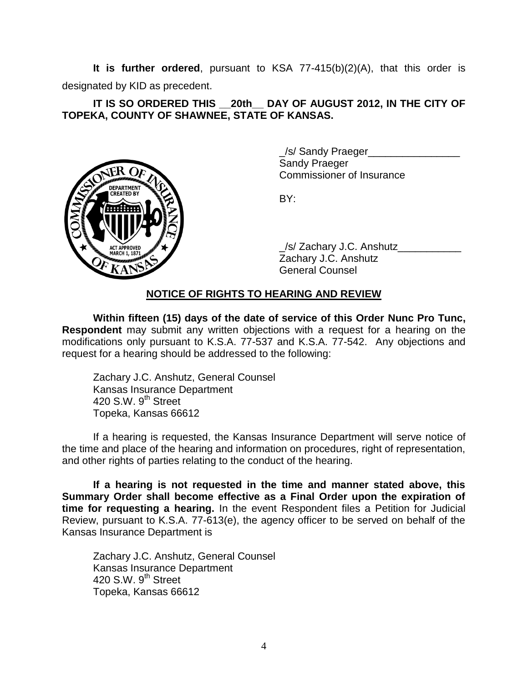**It is further ordered**, pursuant to KSA 77-415(b)(2)(A), that this order is designated by KID as precedent.

### **IT IS SO ORDERED THIS \_\_20th\_\_ DAY OF AUGUST 2012, IN THE CITY OF TOPEKA, COUNTY OF SHAWNEE, STATE OF KANSAS.**



\_/s/ Sandy Praeger\_\_\_\_\_\_\_\_\_\_\_\_\_\_\_\_ Sandy Praeger Commissioner of Insurance

BY:

/s/ Zachary J.C. Anshutz Zachary J.C. Anshutz General Counsel

## **NOTICE OF RIGHTS TO HEARING AND REVIEW**

**Within fifteen (15) days of the date of service of this Order Nunc Pro Tunc, Respondent** may submit any written objections with a request for a hearing on the modifications only pursuant to K.S.A. 77-537 and K.S.A. 77-542. Any objections and request for a hearing should be addressed to the following:

Zachary J.C. Anshutz, General Counsel Kansas Insurance Department 420 S.W. 9<sup>th</sup> Street Topeka, Kansas 66612

If a hearing is requested, the Kansas Insurance Department will serve notice of the time and place of the hearing and information on procedures, right of representation, and other rights of parties relating to the conduct of the hearing.

**If a hearing is not requested in the time and manner stated above, this Summary Order shall become effective as a Final Order upon the expiration of time for requesting a hearing.** In the event Respondent files a Petition for Judicial Review, pursuant to K.S.A. 77-613(e), the agency officer to be served on behalf of the Kansas Insurance Department is

Zachary J.C. Anshutz, General Counsel Kansas Insurance Department 420 S.W.  $9<sup>th</sup>$  Street Topeka, Kansas 66612